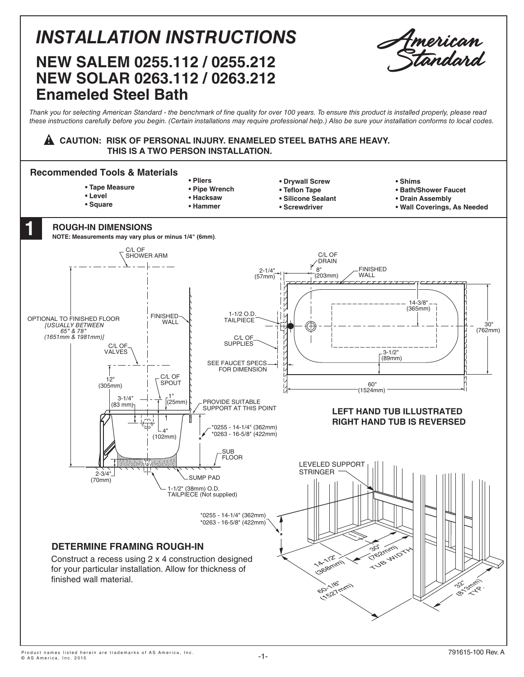